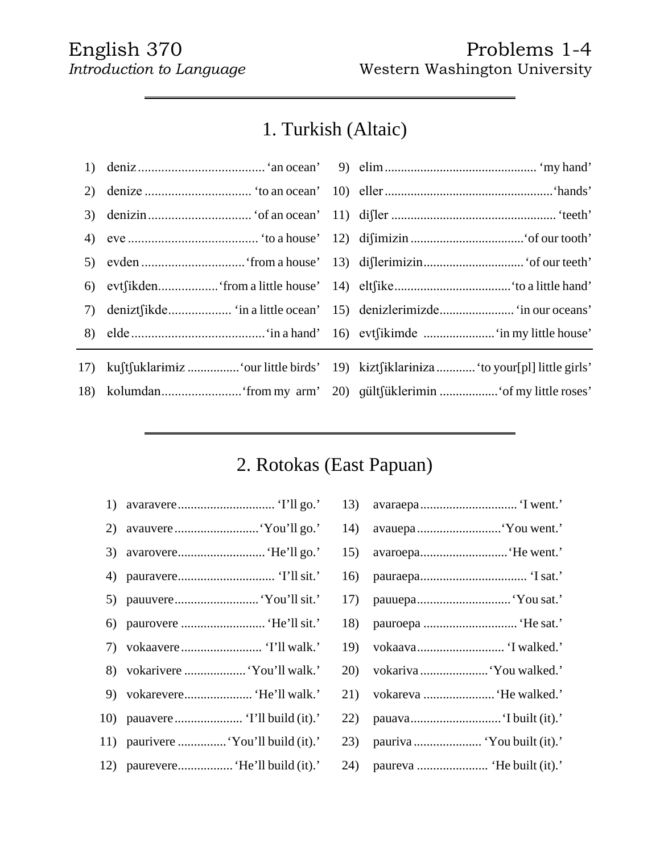#### English 370 Problems 1-4 *Introduction to Language* Western Washington University

## 1. Turkish (Altaic)

| 17) kuftfuklarimiz  'our little birds' 19) kiztfiklariniza  'to your[pl] little girls' |  |  |
|----------------------------------------------------------------------------------------|--|--|
|                                                                                        |  |  |
|                                                                                        |  |  |

## 2. Rotokas (East Papuan)

- 1) avaravere.............................. 'I'll go.' 13) avaraepa.............................. 'I went.'
- 2) avauvere..........................'You'll go.' 14) avauepa..........................'You went.'
- 3) avarovere...........................'He'll go.' 15) avaroepa...........................'He went.'
- 4) pauravere.............................. 'I'llsit.' 16) pauraepa................................. 'Isat.'
- 5) pauuvere..........................'You'llsit.' 17) pauuepa.............................'You sat.'
- 6) paurovere .......................... 'He'llsit.' 18) pauroepa ............................. 'He sat.'
- 7) vokaavere......................... 'I'll walk.' 19) vokaava........................... 'I walked.'
- 8) vokarivere ......................'You'll walk.' 2
- 9) vokarevere..................... 'He'll walk.' 21) vokareva ......................'He walked.'
- 10) pauavere..................... 'I'll build (it).' 22) pauava............................'I built (it).'
- 11) paurivere ................. 'You'll build (it).' 2
- 12) paurevere...................... 'He'll build (it).' 24) p

| avaraepa 'I went.'         | 3)  |
|----------------------------|-----|
| avauepa 'You went.'        | (4) |
| avaroepa 'He went.'        | .5) |
|                            | .6) |
| pauuepa 'You sat.'         | .7) |
| pauroepa  'He sat.'        | .8) |
| vokaava 'I walked.'        | 9)  |
| vokariva  'You walked.'    | 20) |
| vokareva  'He walked.'     | 21) |
| pauava 'I built (it).'     | 22) |
| pauriva  'You built (it).' | (3) |
|                            | (4) |